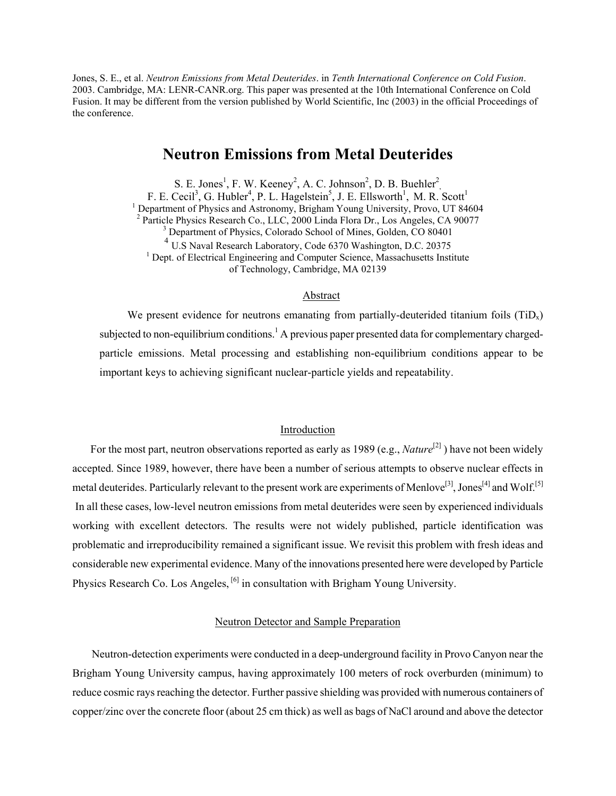Jones, S. E., et al. *Neutron Emissions from Metal Deuterides*. in *Tenth International Conference on Cold Fusion*. 2003. Cambridge, MA: LENR-CANR.org. This paper was presented at the 10th International Conference on Cold Fusion. It may be different from the version published by World Scientific, Inc (2003) in the official Proceedings of the conference.

# **Neutron Emissions from Metal Deuterides**

S. E. Jones<sup>1</sup>, F. W. Keeney<sup>2</sup>, A. C. Johnson<sup>2</sup>, D. B. Buehler<sup>2</sup>, F. E. Cecil<sup>3</sup>, G. Hubler<sup>4</sup>, P. L. Hagelstein<sup>5</sup>, J. E. Ellsworth<sup>1</sup>, M. R. Scott<sup>1</sup><br><sup>1</sup> Department of Physics and Astronomy, Brigham Young University, Provo, UT 84604<br><sup>2</sup> Pertials Physics Besearch Co., LLC, 2000 Linds E <sup>2</sup> Particle Physics Research Co., LLC, 2000 Linda Flora Dr., Los Angeles, CA 90077 <sup>3</sup> Department of Physics, Colorado School of Mines, Golden, CO 80401 <sup>4</sup> U.S Naval Research Laboratory, Code 6370 Washington, D.C. 20375 <sup>1</sup> Dept. of Electrical Engineering and Computer Science, Massachusetts Institute of Technology, Cambridge, MA 02139

### Abstract

We present evidence for neutrons emanating from partially-deuterided titanium foils  $(TiD_x)$ subjected to non-equilibrium conditions.<sup>1</sup> A previous paper presented data for complementary chargedparticle emissions. Metal processing and establishing non-equilibrium conditions appear to be important keys to achieving significant nuclear-particle yields and repeatability.

### Introduction

For the most part, neutron observations reported as early as 1989 (e.g., *Nature*<sup>[2]</sup>) have not been widely accepted. Since 1989, however, there have been a number of serious attempts to observe nuclear effects in metal deuterides. Particularly relevant to the present work are experiments of Menlove<sup>[3]</sup>, Jones<sup>[4]</sup> and Wolf.<sup>[5]</sup> In all these cases, low-level neutron emissions from metal deuterides were seen by experienced individuals working with excellent detectors. The results were not widely published, particle identification was problematic and irreproducibility remained a significant issue. We revisit this problem with fresh ideas and considerable new experimental evidence. Many of the innovations presented here were developed by Particle Physics Research Co. Los Angeles, <sup>[6]</sup> in consultation with Brigham Young University.

## Neutron Detector and Sample Preparation

 Neutron-detection experiments were conducted in a deep-underground facility in Provo Canyon near the Brigham Young University campus, having approximately 100 meters of rock overburden (minimum) to reduce cosmic rays reaching the detector. Further passive shielding was provided with numerous containers of copper/zinc over the concrete floor (about 25 cm thick) as well as bags of NaCl around and above the detector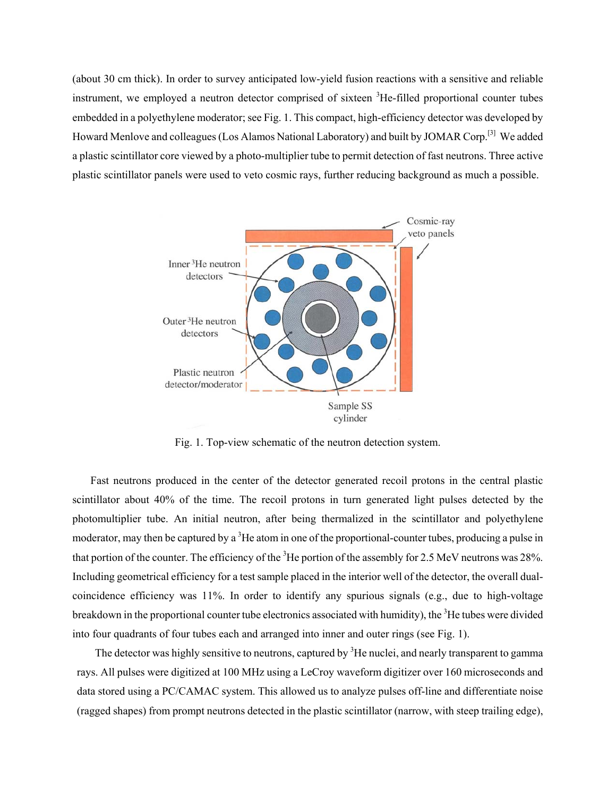(about 30 cm thick). In order to survey anticipated low-yield fusion reactions with a sensitive and reliable instrument, we employed a neutron detector comprised of sixteen <sup>3</sup>He-filled proportional counter tubes embedded in a polyethylene moderator; see Fig. 1. This compact, high-efficiency detector was developed by Howard Menlove and colleagues (Los Alamos National Laboratory) and built by JOMAR Corp.[3] We added a plastic scintillator core viewed by a photo-multiplier tube to permit detection of fast neutrons. Three active plastic scintillator panels were used to veto cosmic rays, further reducing background as much a possible.



Fig. 1. Top-view schematic of the neutron detection system.

Fast neutrons produced in the center of the detector generated recoil protons in the central plastic scintillator about 40% of the time. The recoil protons in turn generated light pulses detected by the photomultiplier tube. An initial neutron, after being thermalized in the scintillator and polyethylene moderator, may then be captured by a <sup>3</sup>He atom in one of the proportional-counter tubes, producing a pulse in that portion of the counter. The efficiency of the  $3$ He portion of the assembly for 2.5 MeV neutrons was 28%. Including geometrical efficiency for a test sample placed in the interior well of the detector, the overall dualcoincidence efficiency was 11%. In order to identify any spurious signals (e.g., due to high-voltage breakdown in the proportional counter tube electronics associated with humidity), the <sup>3</sup>He tubes were divided into four quadrants of four tubes each and arranged into inner and outer rings (see Fig. 1).

The detector was highly sensitive to neutrons, captured by <sup>3</sup>He nuclei, and nearly transparent to gamma rays. All pulses were digitized at 100 MHz using a LeCroy waveform digitizer over 160 microseconds and data stored using a PC/CAMAC system. This allowed us to analyze pulses off-line and differentiate noise (ragged shapes) from prompt neutrons detected in the plastic scintillator (narrow, with steep trailing edge),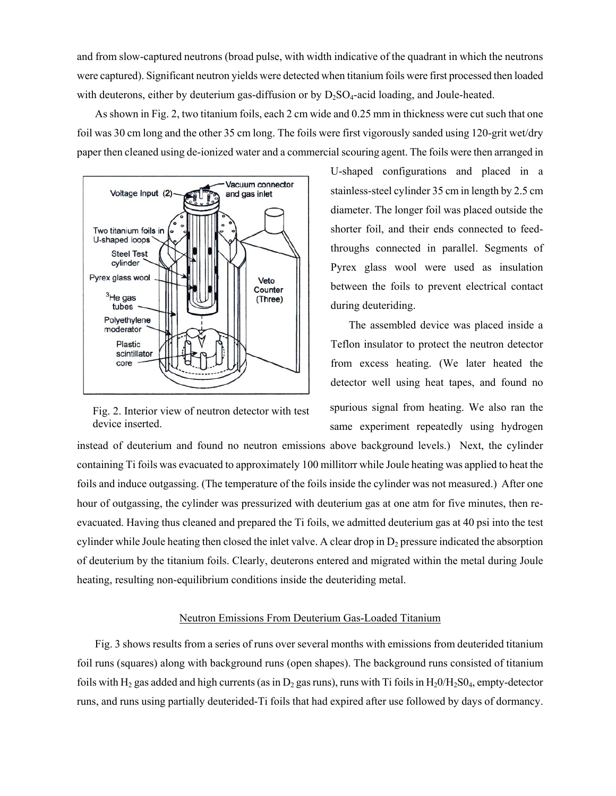and from slow-captured neutrons (broad pulse, with width indicative of the quadrant in which the neutrons were captured). Significant neutron yields were detected when titanium foils were first processed then loaded with deuterons, either by deuterium gas-diffusion or by  $D_2SO_4$ -acid loading, and Joule-heated.

As shown in Fig. 2, two titanium foils, each 2 cm wide and 0.25 mm in thickness were cut such that one foil was 30 cm long and the other 35 cm long. The foils were first vigorously sanded using 120-grit wet/dry paper then cleaned using de-ionized water and a commercial scouring agent. The foils were then arranged in



Fig. 2. Interior view of neutron detector with test device inserted.

U-shaped configurations and placed in a stainless-steel cylinder 35 cm in length by 2.5 cm diameter. The longer foil was placed outside the shorter foil, and their ends connected to feedthroughs connected in parallel. Segments of Pyrex glass wool were used as insulation between the foils to prevent electrical contact during deuteriding.

The assembled device was placed inside a Teflon insulator to protect the neutron detector from excess heating. (We later heated the detector well using heat tapes, and found no spurious signal from heating. We also ran the same experiment repeatedly using hydrogen

instead of deuterium and found no neutron emissions above background levels.) Next, the cylinder containing Ti foils was evacuated to approximately 100 millitorr while Joule heating was applied to heat the foils and induce outgassing. (The temperature of the foils inside the cylinder was not measured.) After one hour of outgassing, the cylinder was pressurized with deuterium gas at one atm for five minutes, then reevacuated. Having thus cleaned and prepared the Ti foils, we admitted deuterium gas at 40 psi into the test cylinder while Joule heating then closed the inlet valve. A clear drop in  $D_2$  pressure indicated the absorption of deuterium by the titanium foils. Clearly, deuterons entered and migrated within the metal during Joule heating, resulting non-equilibrium conditions inside the deuteriding metal.

## Neutron Emissions From Deuterium Gas-Loaded Titanium

Fig. 3 shows results from a series of runs over several months with emissions from deuterided titanium foil runs (squares) along with background runs (open shapes). The background runs consisted of titanium foils with H<sub>2</sub> gas added and high currents (as in D<sub>2</sub> gas runs), runs with Ti foils in H<sub>2</sub>0/H<sub>2</sub>S0<sub>4</sub>, empty-detector runs, and runs using partially deuterided-Ti foils that had expired after use followed by days of dormancy.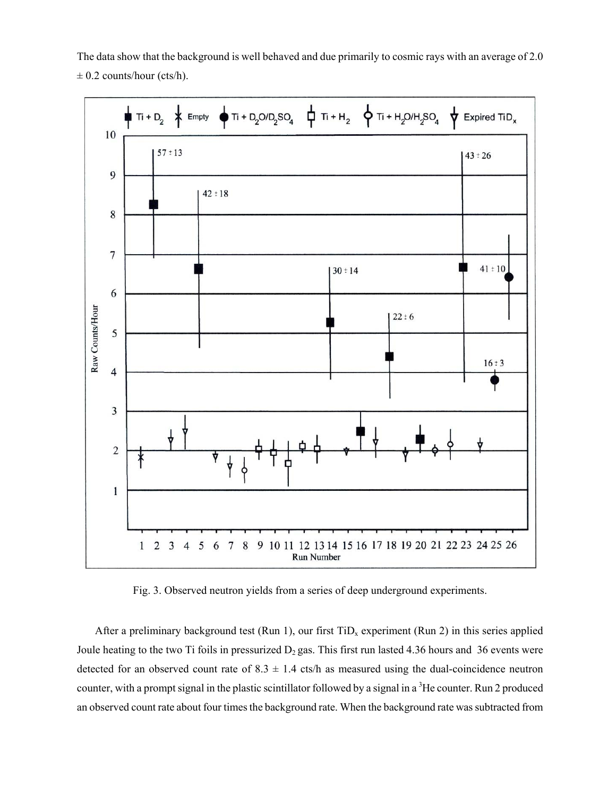The data show that the background is well behaved and due primarily to cosmic rays with an average of 2.0  $\pm$  0.2 counts/hour (cts/h).



Fig. 3. Observed neutron yields from a series of deep underground experiments.

After a preliminary background test (Run 1), our first  $TiD<sub>x</sub>$  experiment (Run 2) in this series applied Joule heating to the two Ti foils in pressurized  $D_2$  gas. This first run lasted 4.36 hours and 36 events were detected for an observed count rate of  $8.3 \pm 1.4$  cts/h as measured using the dual-coincidence neutron counter, with a prompt signal in the plastic scintillator followed by a signal in a <sup>3</sup>He counter. Run 2 produced an observed count rate about four times the background rate. When the background rate was subtracted from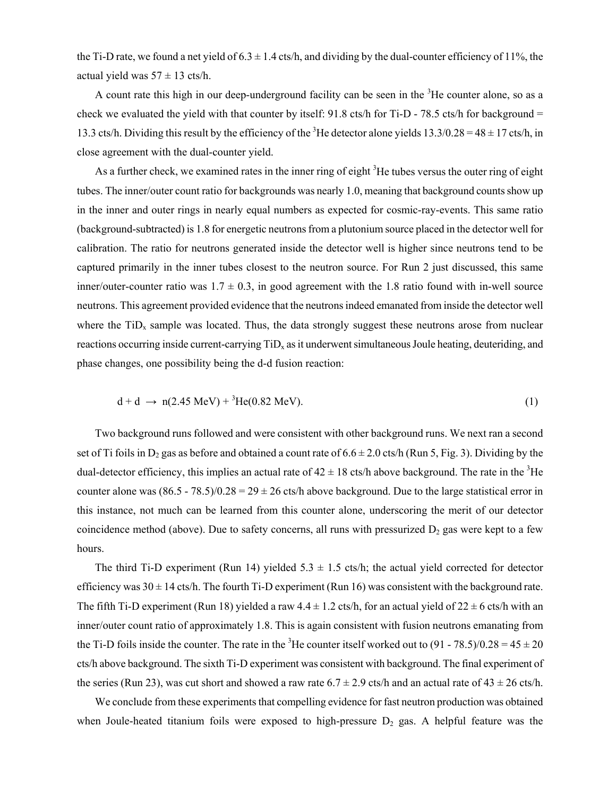the Ti-D rate, we found a net yield of  $6.3 \pm 1.4$  cts/h, and dividing by the dual-counter efficiency of 11%, the actual yield was  $57 \pm 13$  cts/h.

A count rate this high in our deep-underground facility can be seen in the <sup>3</sup>He counter alone, so as a check we evaluated the yield with that counter by itself: 91.8 cts/h for Ti-D - 78.5 cts/h for background = 13.3 cts/h. Dividing this result by the efficiency of the <sup>3</sup>He detector alone yields  $13.3/0.28 = 48 \pm 17$  cts/h, in close agreement with the dual-counter yield.

As a further check, we examined rates in the inner ring of eight  ${}^{3}$ He tubes versus the outer ring of eight tubes. The inner/outer count ratio for backgrounds was nearly 1.0, meaning that background counts show up in the inner and outer rings in nearly equal numbers as expected for cosmic-ray-events. This same ratio (background-subtracted) is 1.8 for energetic neutrons from a plutonium source placed in the detector well for calibration. The ratio for neutrons generated inside the detector well is higher since neutrons tend to be captured primarily in the inner tubes closest to the neutron source. For Run 2 just discussed, this same inner/outer-counter ratio was  $1.7 \pm 0.3$ , in good agreement with the 1.8 ratio found with in-well source neutrons. This agreement provided evidence that the neutrons indeed emanated from inside the detector well where the  $\text{TiD}_x$  sample was located. Thus, the data strongly suggest these neutrons arose from nuclear reactions occurring inside current-carrying TiD<sub>y</sub> as it underwent simultaneous Joule heating, deuteriding, and phase changes, one possibility being the d-d fusion reaction:

$$
d + d \to n(2.45 \text{ MeV}) + {}^{3}\text{He}(0.82 \text{ MeV}).
$$
 (1)

Two background runs followed and were consistent with other background runs. We next ran a second set of Ti foils in D<sub>2</sub> gas as before and obtained a count rate of  $6.6 \pm 2.0$  cts/h (Run 5, Fig. 3). Dividing by the dual-detector efficiency, this implies an actual rate of  $42 \pm 18$  cts/h above background. The rate in the <sup>3</sup>He counter alone was  $(86.5 - 78.5)/0.28 = 29 \pm 26$  cts/h above background. Due to the large statistical error in this instance, not much can be learned from this counter alone, underscoring the merit of our detector coincidence method (above). Due to safety concerns, all runs with pressurized  $D_2$  gas were kept to a few hours.

The third Ti-D experiment (Run 14) yielded  $5.3 \pm 1.5$  cts/h; the actual yield corrected for detector efficiency was  $30 \pm 14$  cts/h. The fourth Ti-D experiment (Run 16) was consistent with the background rate. The fifth Ti-D experiment (Run 18) yielded a raw  $4.4 \pm 1.2$  cts/h, for an actual yield of  $22 \pm 6$  cts/h with an inner/outer count ratio of approximately 1.8. This is again consistent with fusion neutrons emanating from the Ti-D foils inside the counter. The rate in the <sup>3</sup>He counter itself worked out to  $(91 - 78.5)/0.28 = 45 \pm 20$ cts/h above background. The sixth Ti-D experiment was consistent with background. The final experiment of the series (Run 23), was cut short and showed a raw rate  $6.7 \pm 2.9$  cts/h and an actual rate of  $43 \pm 26$  cts/h.

We conclude from these experiments that compelling evidence for fast neutron production was obtained when Joule-heated titanium foils were exposed to high-pressure  $D_2$  gas. A helpful feature was the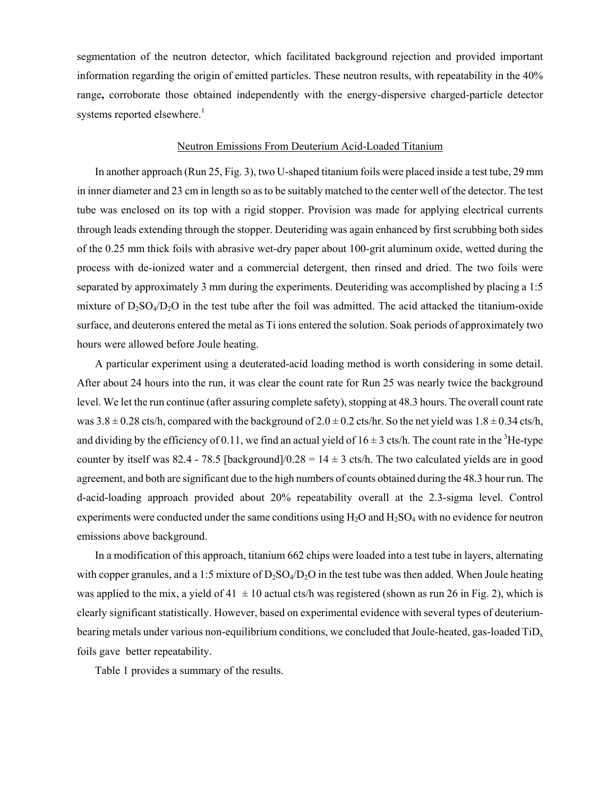segmentation of the neutron detector, which facilitated background rejection and provided important information regarding the origin of emitted particles. These neutron results, with repeatability in the 40% range**,** corroborate those obtained independently with the energy-dispersive charged-particle detector systems reported elsewhere.<sup>1</sup>

### Neutron Emissions From Deuterium Acid-Loaded Titanium

In another approach (Run 25, Fig. 3), two U-shaped titanium foils were placed inside a test tube, 29 mm in inner diameter and 23 cm in length so as to be suitably matched to the center well of the detector. The test tube was enclosed on its top with a rigid stopper. Provision was made for applying electrical currents through leads extending through the stopper. Deuteriding was again enhanced by first scrubbing both sides of the 0.25 mm thick foils with abrasive wet-dry paper about 100-grit aluminum oxide, wetted during the process with de-ionized water and a commercial detergent, then rinsed and dried. The two foils were separated by approximately 3 mm during the experiments. Deuteriding was accomplished by placing a 1:5 mixture of  $D_2SO_4/D_2O$  in the test tube after the foil was admitted. The acid attacked the titanium-oxide surface, and deuterons entered the metal as Ti ions entered the solution. Soak periods of approximately two hours were allowed before Joule heating.

 A particular experiment using a deuterated-acid loading method is worth considering in some detail. After about 24 hours into the run, it was clear the count rate for Run 25 was nearly twice the background level. We let the run continue (after assuring complete safety), stopping at 48.3 hours. The overall count rate was  $3.8 \pm 0.28$  cts/h, compared with the background of  $2.0 \pm 0.2$  cts/hr. So the net yield was  $1.8 \pm 0.34$  cts/h, and dividing by the efficiency of 0.11, we find an actual yield of  $16 \pm 3$  cts/h. The count rate in the <sup>3</sup>He-type counter by itself was 82.4 - 78.5 [background]/ $0.28 = 14 \pm 3$  cts/h. The two calculated yields are in good agreement, and both are significant due to the high numbers of counts obtained during the 48.3 hour run. The d-acid-loading approach provided about 20% repeatability overall at the 2.3-sigma level. Control experiments were conducted under the same conditions using  $H_2O$  and  $H_2SO_4$  with no evidence for neutron emissions above background.

 In a modification of this approach, titanium 662 chips were loaded into a test tube in layers, alternating with copper granules, and a 1:5 mixture of  $D_2SO_4/D_2O$  in the test tube was then added. When Joule heating was applied to the mix, a yield of 41  $\pm$  10 actual cts/h was registered (shown as run 26 in Fig. 2), which is clearly significant statistically. However, based on experimental evidence with several types of deuteriumbearing metals under various non-equilibrium conditions, we concluded that Joule-heated, gas-loaded TiD<sub>x</sub> foils gave better repeatability.

Table 1 provides a summary of the results.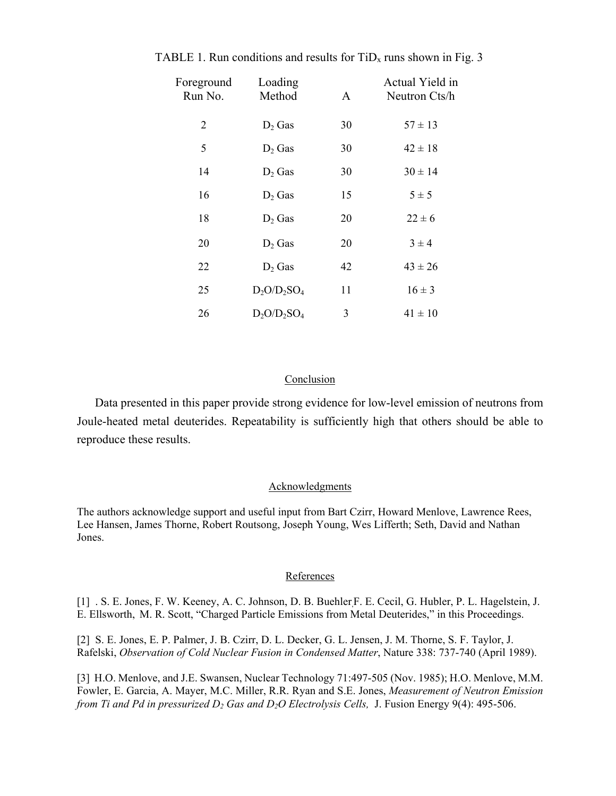| Foreground<br>Run No. | Loading<br>Method | A  | Actual Yield in<br>Neutron Cts/h |
|-----------------------|-------------------|----|----------------------------------|
| $\overline{2}$        | $D_2$ Gas         | 30 | $57 \pm 13$                      |
| 5                     | $D_2$ Gas         | 30 | $42 \pm 18$                      |
| 14                    | $D_2$ Gas         | 30 | $30 \pm 14$                      |
| 16                    | $D_2$ Gas         | 15 | $5 \pm 5$                        |
| 18                    | $D_2$ Gas         | 20 | $22 \pm 6$                       |
| 20                    | $D_2$ Gas         | 20 | $3 \pm 4$                        |
| 22                    | $D_2$ Gas         | 42 | $43 \pm 26$                      |
| 25                    | $D_2O/D_2SO_4$    | 11 | $16 \pm 3$                       |
| 26                    | $D_2O/D_2SO_4$    | 3  | $41 \pm 10$                      |

TABLE 1. Run conditions and results for  $TiD<sub>x</sub>$  runs shown in Fig. 3

## Conclusion

Data presented in this paper provide strong evidence for low-level emission of neutrons from Joule-heated metal deuterides. Repeatability is sufficiently high that others should be able to reproduce these results.

# Acknowledgments

The authors acknowledge support and useful input from Bart Czirr, Howard Menlove, Lawrence Rees, Lee Hansen, James Thorne, Robert Routsong, Joseph Young, Wes Lifferth; Seth, David and Nathan Jones.

## References

[1] . S. E. Jones, F. W. Keeney, A. C. Johnson, D. B. Buehler,F. E. Cecil, G. Hubler, P. L. Hagelstein, J. E. Ellsworth, M. R. Scott, "Charged Particle Emissions from Metal Deuterides," in this Proceedings.

[2] S. E. Jones, E. P. Palmer, J. B. Czirr, D. L. Decker, G. L. Jensen, J. M. Thorne, S. F. Taylor, J. Rafelski, *Observation of Cold Nuclear Fusion in Condensed Matter*, Nature 338: 737-740 (April 1989).

[3] H.O. Menlove, and J.E. Swansen, Nuclear Technology 71:497-505 (Nov. 1985); H.O. Menlove, M.M. Fowler, E. Garcia, A. Mayer, M.C. Miller, R.R. Ryan and S.E. Jones, *Measurement of Neutron Emission from Ti and Pd in pressurized D<sub>2</sub> Gas and D<sub>2</sub>O Electrolysis Cells, J. Fusion Energy 9(4): 495-506.*